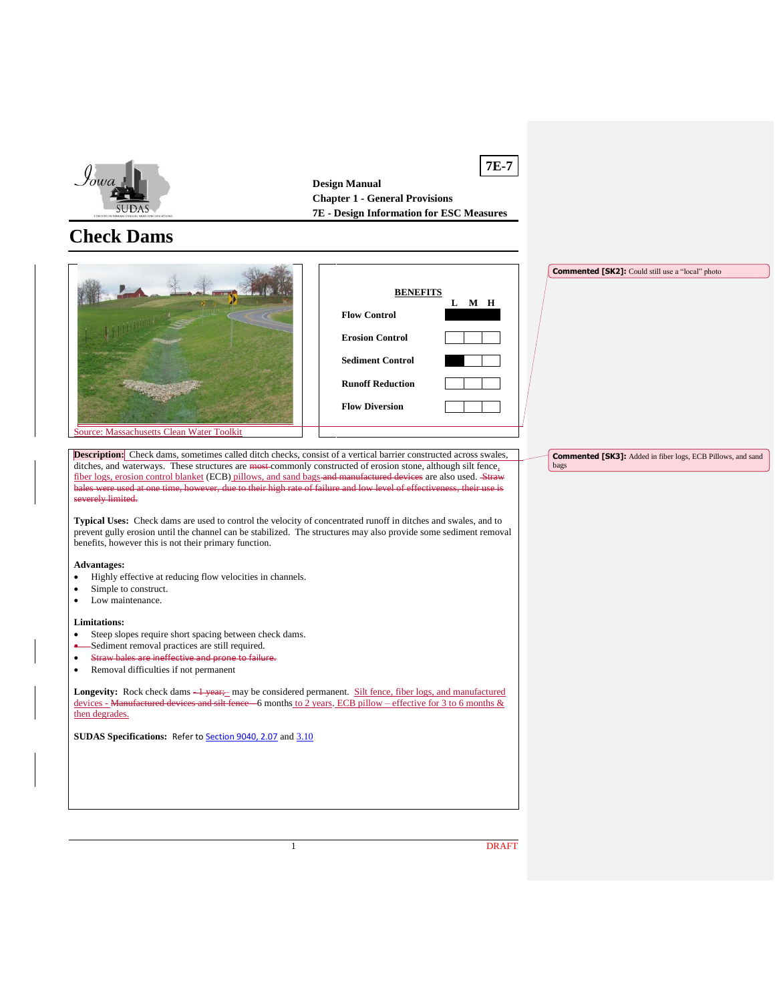

**Design Manual Chapter 1 - General Provisions 7E - Design Information for ESC Measures**

**7E-7**

bags

# **Check Dams**



**Description:** Check dams, sometimes called ditch checks, consist of a vertical barrier constructed across swales, ditches, and waterways. These structures are most commonly constructed of erosion stone, although silt fence, fiber logs, erosion control blanket (ECB) pillows, and sand bags and manufactured devices are also used. Straw<br>bales were used at one time, however, due to their high rate of failure and low level of effectiveness, their u bales were used at one time, however, due to their high rate of failure and low level of effectiveness, their use is severely limited.

**Typical Uses:** Check dams are used to control the velocity of concentrated runoff in ditches and swales, and to prevent gully erosion until the channel can be stabilized. The structures may also provide some sediment removal benefits, however this is not their primary function.

#### **Advantages:**

- Highly effective at reducing flow velocities in channels.
- Simple to construct.
- Low maintenance.

#### **Limitations:**

- Steep slopes require short spacing between check dams.
- Sediment removal practices are still required.
- Straw bales are ineffective and prone to failure.
- Removal difficulties if not permanent

Longevity: Rock check dams  $\frac{1}{2}$  year; may be considered permanent. Silt fence, fiber logs, and manufactured devices - Manufactured devices and silt fence - 6 months to 2 years. ECB pillow – effective for 3 to 6 months & then degrades.

**SUDAS Specifications:** Refer to **Section 9040, 2.07** and [3.10](https://intrans.iastate.edu/app/uploads/sites/15/2020/02/9040.pdf#page=19)

1 DRAFT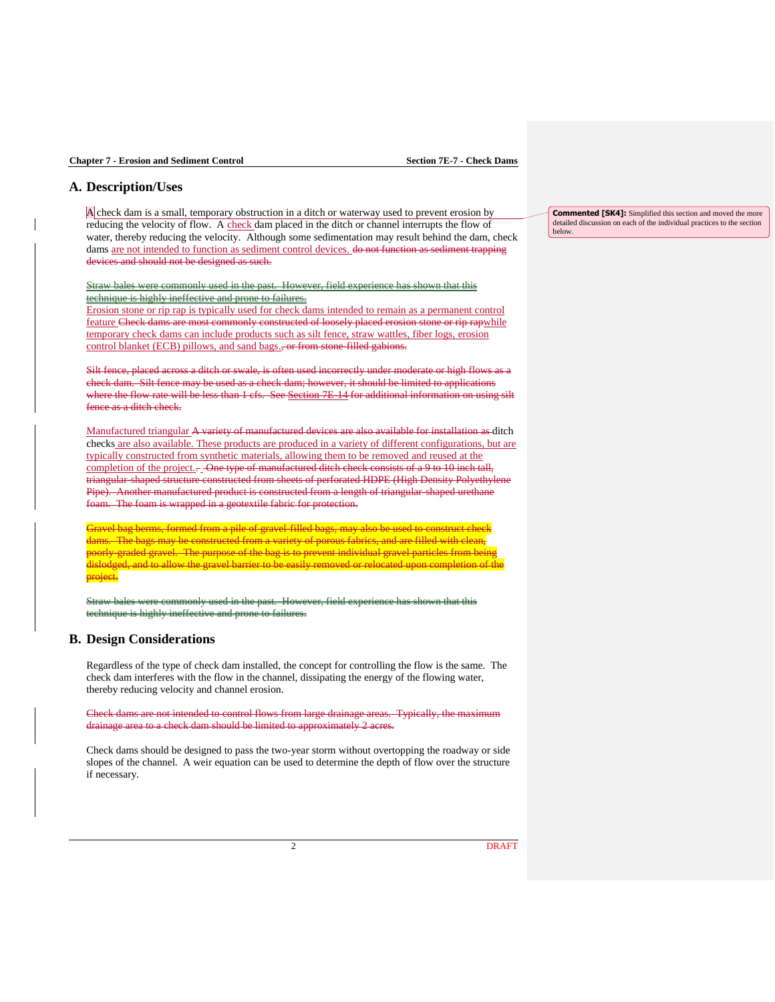## **A. Description/Uses**

A check dam is a small, temporary obstruction in a ditch or waterway used to prevent erosion by reducing the velocity of flow. A check dam placed in the ditch or channel interrupts the flow of water, thereby reducing the velocity. Although some sedimentation may result behind the dam, check dams are not intended to function as sediment control devices. do not function as sediment trapping devices and should not be designed as such.

Straw bales were commonly used in the past. However, field experience has shown that this technique is highly ineffective and prone to failures.

Erosion stone or rip rap is typically used for check dams intended to remain as a permanent control feature Check dams are most commonly constructed of loosely placed erosion stone or rip rapwhile temporary check dams can include products such as silt fence, straw wattles, fiber logs, erosion control blanket (ECB) pillows, and sand bags., or from stone-filled gabions.

Silt fence, placed across a ditch or swale, is often used incorrectly under moderate or high flows as a check dam. Silt fence may be used as a check dam; however, it should be limited to applications where the flow rate will be less than 1 cfs. See Section 7E-14 for additional information on using silt fence as a ditch check.

Manufactured triangular A variety of manufactured devices are also available for installation as ditch checks are also available. These products are produced in a variety of different configurations, but are typically constructed from synthetic materials, allowing them to be removed and reused at the completion of the project.- One type of manufactured ditch check consists of a 9 to 10 inch tall, triangular-shaped structure constructed from sheets of perforated HDPE (High Density Polyethylene Pipe). Another manufactured product is constructed from a length of triangular-shaped urethane foam. The foam is wrapped in a geotextile fabric for protection.

Gravel bag berms, formed from a pile of gravel-filled bags, may also be used to construct check dams. The bags may be constructed from a variety of porous fabrics, and are filled with clean, poorly-graded gravel. The purpose of the bag is to prevent individual gravel particles from being dislodged, and to allow the gravel barrier to be easily removed or relocated upon completion of the project.

monly used in the past. However, field experience has shown that this technique is highly ineffective and prone to failures.

### **B. Design Considerations**

Regardless of the type of check dam installed, the concept for controlling the flow is the same. The check dam interferes with the flow in the channel, dissipating the energy of the flowing water, thereby reducing velocity and channel erosion.

Check dams are not intended to control flows from large drainage areas. Typically, the maximum drainage area to a check dam should be limited to approximately 2 acres.

Check dams should be designed to pass the two-year storm without overtopping the roadway or side slopes of the channel. A weir equation can be used to determine the depth of flow over the structure if necessary.

**Commented [SK4]:** Simplified this section and moved the more detailed discussion on each of the individual practices to the section below.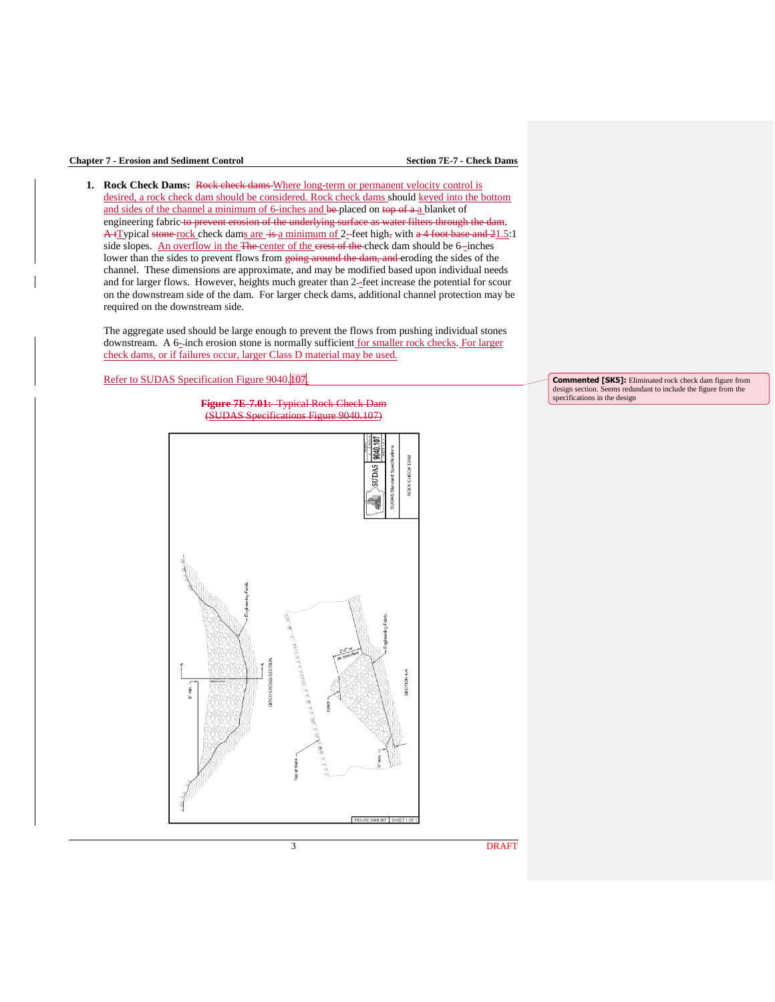### **Chapter 7 - Erosion and Sediment Control Section 7E-7 - Check Dams**

**1.** Rock Check Dams: Rock check dams Where long-term or permanent velocity control is desired, a rock check dam should be considered. Rock check dams should keyed into the bottom and sides of the channel a minimum of 6-inches and be-placed on top of a-a blanket of engineering fabric to prevent erosion of the underlying surface as water filters through the dam.  $A$ +Typical stone rock check dams are  $-i$ s a minimum of 2-feet high, with a 4 foot base and  $21.5:1$ side slopes. An overflow in the The center of the crest of the check dam should be 6-inches lower than the sides to prevent flows from going around the dam, and eroding the sides of the channel. These dimensions are approximate, and may be modified based upon individual needs and for larger flows. However, heights much greater than 2-feet increase the potential for scour on the downstream side of the dam. For larger check dams, additional channel protection may be required on the downstream side.

The aggregate used should be large enough to prevent the flows from pushing individual stones downstream. A 6-inch erosion stone is normally sufficient for smaller rock checks. For larger check dams, or if failures occur, larger Class D material may be used.



**Figure 7E-7.01:** Typical Rock Check Dam<br>(SUDAS Specifications Figure 9040.107)  $ns$  Figure 9040.107)



**Commented [SK5]:** Eliminated rock check dam figure from design section. Seems redundant to include the figure from the specifications in the design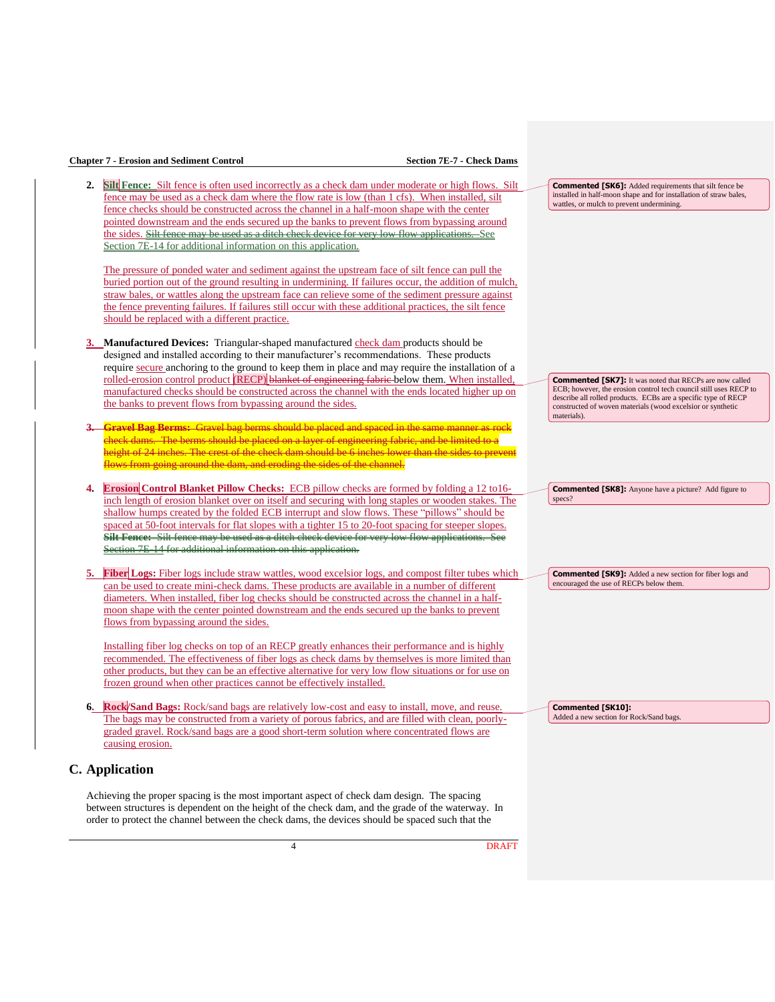### **Chapter 7 - Erosion and Sediment Control Section 7E-7 - Check Dams**

**2. Silt Fence:** Silt fence is often used incorrectly as a check dam under moderate or high flows. Silt fence may be used as a check dam where the flow rate is low (than 1 cfs). When installed, silt fence checks should be constructed across the channel in a half-moon shape with the center pointed downstream and the ends secured up the banks to prevent flows from bypassing around the sides. Silt fence may be used as a ditch check device for very low flow applications. See [Section 7E-14](https://intrans.iastate.edu/app/uploads/sites/15/2020/03/7E-14.pdf) for additional information on this application.

The pressure of ponded water and sediment against the upstream face of silt fence can pull the buried portion out of the ground resulting in undermining. If failures occur, the addition of mulch, straw bales, or wattles along the upstream face can relieve some of the sediment pressure against the fence preventing failures. If failures still occur with these additional practices, the silt fence should be replaced with a different practice.

- **3. Manufactured Devices:** Triangular-shaped manufactured check dam products should be designed and installed according to their manufacturer's recommendations. These products require secure anchoring to the ground to keep them in place and may require the installation of a rolled-erosion control product (RECP) blanket of engineering fabric below them. When installed, manufactured checks should be constructed across the channel with the ends located higher up on the banks to prevent flows from bypassing around the sides.
- **3. Gravel Bag Berms:** Gravel bag berms should be placed and spaced in the same manner as rock check dams. The berms should be placed on a layer of engineering fabric, and be limited to a height of 24 inches. The crest of the check dam should be 6 inches lower than the sides to prevent flows from going around the dam, and eroding the sides of the channel.
- **4. Erosion Control Blanket Pillow Checks:** ECB pillow checks are formed by folding a 12 to16 inch length of erosion blanket over on itself and securing with long staples or wooden stakes. The shallow humps created by the folded ECB interrupt and slow flows. These "pillows" should be spaced at 50-foot intervals for flat slopes with a tighter 15 to 20-foot spacing for steeper slopes. **Silt Fence:** Silt fence may be used as a ditch check device for very low flow applications. Section 7E-14 for additional information on this application.
- **5. Fiber Logs:** Fiber logs include straw wattles, wood excelsior logs, and compost filter tubes which can be used to create mini-check dams. These products are available in a number of different diameters. When installed, fiber log checks should be constructed across the channel in a halfmoon shape with the center pointed downstream and the ends secured up the banks to prevent flows from bypassing around the sides.

Installing fiber log checks on top of an RECP greatly enhances their performance and is highly recommended. The effectiveness of fiber logs as check dams by themselves is more limited than other products, but they can be an effective alternative for very low flow situations or for use on frozen ground when other practices cannot be effectively installed.

**6. Rock/Sand Bags:** Rock/sand bags are relatively low-cost and easy to install, move, and reuse. The bags may be constructed from a variety of porous fabrics, and are filled with clean, poorlygraded gravel. Rock/sand bags are a good short-term solution where concentrated flows are causing erosion.

# **C. Application**

Achieving the proper spacing is the most important aspect of check dam design. The spacing between structures is dependent on the height of the check dam, and the grade of the waterway. In order to protect the channel between the check dams, the devices should be spaced such that the

**Commented [SK6]:** Added requirements that silt fence be installed in half-moon shape and for installation of straw bales, wattles, or mulch to prevent undermining.

**Commented [SK7]:** It was noted that RECPs are now called ECB; however, the erosion control tech council still uses RECP to describe all rolled products. ECBs are a specific type of RECP constructed of woven materials (wood excelsior or synthetic materials).

**Commented [SK8]:** Anyone have a picture? Add figure to specs?

**Commented [SK9]:** Added a new section for fiber logs and encouraged the use of RECPs below them.

**Commented [SK10]:**  Added a new section for Rock/Sand bags.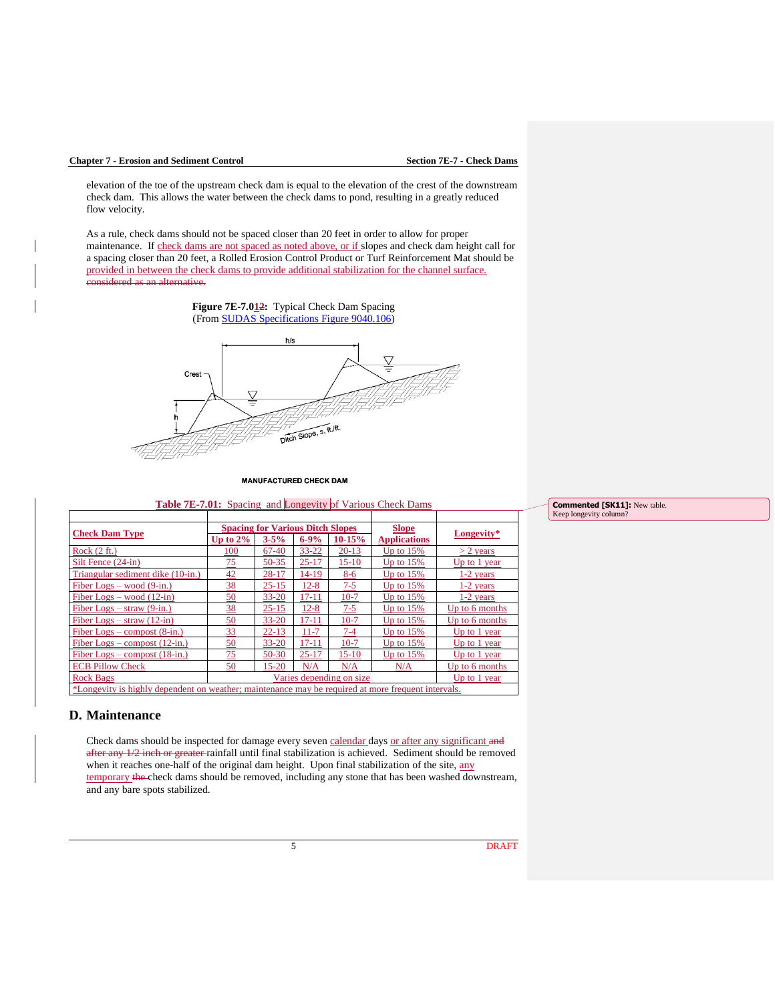#### **Chapter 7 - Erosion and Sediment Control Section 7E-7 - Check Dams**

elevation of the toe of the upstream check dam is equal to the elevation of the crest of the downstream check dam. This allows the water between the check dams to pond, resulting in a greatly reduced flow velocity.

As a rule, check dams should not be spaced closer than 20 feet in order to allow for proper maintenance. If check dams are not spaced as noted above, or if slopes and check dam height call for a spacing closer than 20 feet, a Rolled Erosion Control Product or Turf Reinforcement Mat should be provided in between the check dams to provide additional stabilization for the channel surface. considered as an alternative.



**MANUFACTURED CHECK DAM** 

**Table 7E-7.01:** Spacing and Longevity of Various Check Dams

| <b>Check Dam Type</b>                                                                              | <b>Spacing for Various Ditch Slopes</b> |           |           |          | <b>Slope</b>        |                |
|----------------------------------------------------------------------------------------------------|-----------------------------------------|-----------|-----------|----------|---------------------|----------------|
|                                                                                                    | Up to $2\%$                             | $3 - 5\%$ | $6 - 9%$  | $10-15%$ | <b>Applications</b> | Longevity*     |
| Rock $(2 ft.)$                                                                                     | 100                                     | 67-40     | $33 - 22$ | $20-13$  | Up to $15%$         | $>$ 2 vears    |
| Silt Fence (24-in)                                                                                 | 75                                      | $50 - 35$ | $25 - 17$ | $15-10$  | Up to $15%$         | Up to 1 year   |
| Triangular sediment dike (10-in.)                                                                  | 42                                      | 28-17     | 14-19     | $8-6$    | Up to $15%$         | $1-2$ years    |
| Fiber Logs – wood $(9\text{-}in.)$                                                                 | 38                                      | $25 - 15$ | $12 - 8$  | $7 - 5$  | Up to $15%$         | $1-2$ years    |
| Fiber Logs – wood $(12-in)$                                                                        | 50                                      | $33 - 20$ | $17 - 11$ | $10-7$   | Up to $15%$         | $1-2$ years    |
| Fiber Logs $-$ straw (9-in.)                                                                       | $\overline{38}$                         | $25 - 15$ | $12 - 8$  | $7 - 5$  | Up to $15%$         | Up to 6 months |
| Fiber Logs $-$ straw (12-in)                                                                       | 50                                      | $33 - 20$ | $17 - 11$ | $10-7$   | Up to $15%$         | Up to 6 months |
| Fiber Logs – compost $(8\text{-}in.)$                                                              | 33                                      | $22 - 13$ | $11 - 7$  | $7 - 4$  | Up to $15%$         | Up to 1 year   |
| Fiber Logs – compost $(12\text{-in.})$                                                             | 50                                      | $33 - 20$ | $17 - 11$ | $10-7$   | Up to $15%$         | Up to $1$ year |
| Fiber Logs – compost $(18\text{-}in.)$                                                             | 75                                      | $50-30$   | $25 - 17$ | $15-10$  | Up to $15%$         | Up to 1 year   |
| <b>ECB Pillow Check</b>                                                                            | 50                                      | $15 - 20$ | N/A       | N/A      | N/A                 | Up to 6 months |
| Rock Bags                                                                                          | Varies depending on size                |           |           |          |                     | Up to 1 year   |
| *Longevity is highly dependent on weather; maintenance may be required at more frequent intervals. |                                         |           |           |          |                     |                |

#### **D. Maintenance**

Check dams should be inspected for damage every seven calendar days or after any significant and after any 1/2 inch or greater rainfall until final stabilization is achieved. Sediment should be removed when it reaches one-half of the original dam height. Upon final stabilization of the site, any temporary the check dams should be removed, including any stone that has been washed downstream, and any bare spots stabilized.

**Commented [SK11]:** New table. Keep longevity column?